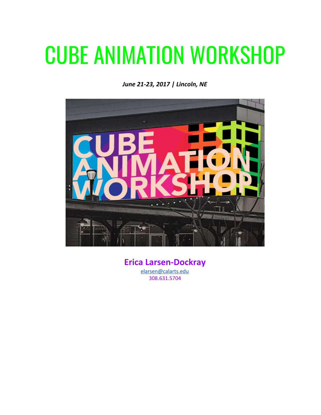## CUBE ANIMATION WORKSHOP

*June 21-23, 2017 | Lincoln, NE*



**Erica Larsen-Dockray** [elarsen@calarts.edu](mailto:elarsen@calarts.edu) 308.631.5704